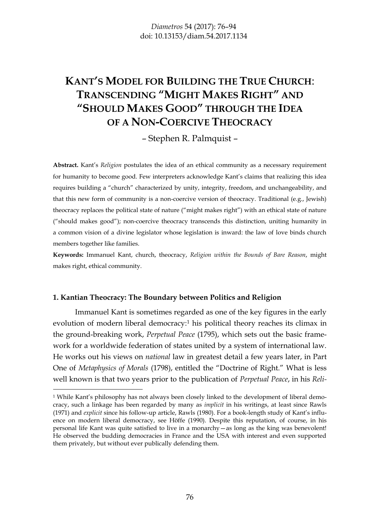# **KANT'S MODEL FOR BUILDING THE TRUE CHURCH**: **TRANSCENDING "MIGHT MAKES RIGHT" AND "SHOULD MAKES GOOD" THROUGH THE IDEA OF A NON-COERCIVE THEOCRACY**

– Stephen R. Palmquist –

**Abstract.** Kant's *Religion* postulates the idea of an ethical community as a necessary requirement for humanity to become good. Few interpreters acknowledge Kant's claims that realizing this idea requires building a "church" characterized by unity, integrity, freedom, and unchangeability, and that this new form of community is a non-coercive version of theocracy. Traditional (e.g., Jewish) theocracy replaces the political state of nature ("might makes right") with an ethical state of nature ("should makes good"); non-coercive theocracy transcends this distinction, uniting humanity in a common vision of a divine legislator whose legislation is inward: the law of love binds church members together like families.

**Keywords:** Immanuel Kant, church, theocracy, *Religion within the Bounds of Bare Reason*, might makes right, ethical community.

#### **1. Kantian Theocracy: The Boundary between Politics and Religion**

Immanuel Kant is sometimes regarded as one of the key figures in the early evolution of modern liberal democracy:<sup>1</sup> his political theory reaches its climax in the ground-breaking work, *Perpetual Peace* (1795), which sets out the basic framework for a worldwide federation of states united by a system of international law. He works out his views on *national* law in greatest detail a few years later, in Part One of *Metaphysics of Morals* (1798), entitled the "Doctrine of Right." What is less well known is that two years prior to the publication of *Perpetual Peace*, in his *Reli-*

<sup>&</sup>lt;sup>1</sup> While Kant's philosophy has not always been closely linked to the development of liberal democracy, such a linkage has been regarded by many as *implicit* in his writings, at least since Rawls (1971) and *explicit* since his follow-up article, Rawls (1980). For a book-length study of Kant's influence on modern liberal democracy, see Höffe (1990). Despite this reputation, of course, in his personal life Kant was quite satisfied to live in a monarchy—as long as the king was benevolent! He observed the budding democracies in France and the USA with interest and even supported them privately, but without ever publically defending them.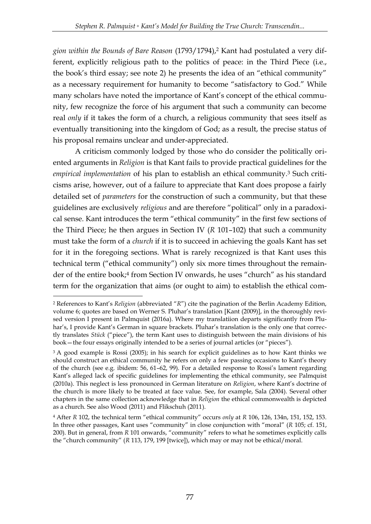*gion within the Bounds of Bare Reason* (1793/1794),<sup>2</sup> Kant had postulated a very different, explicitly religious path to the politics of peace: in the Third Piece (i.e., the book's third essay; see note 2) he presents the idea of an "ethical community" as a necessary requirement for humanity to become "satisfactory to God." While many scholars have noted the importance of Kant's concept of the ethical community, few recognize the force of his argument that such a community can become real *only* if it takes the form of a church, a religious community that sees itself as eventually transitioning into the kingdom of God; as a result, the precise status of his proposal remains unclear and under-appreciated.

A criticism commonly lodged by those who do consider the politically oriented arguments in *Religion* is that Kant fails to provide practical guidelines for the *empirical implementation* of his plan to establish an ethical community.<sup>3</sup> Such criticisms arise, however, out of a failure to appreciate that Kant does propose a fairly detailed set of *parameters* for the construction of such a community, but that these guidelines are exclusively *religious* and are therefore "political" only in a paradoxical sense. Kant introduces the term "ethical community" in the first few sections of the Third Piece; he then argues in Section IV (*R* 101–102) that such a community must take the form of a *church* if it is to succeed in achieving the goals Kant has set for it in the foregoing sections. What is rarely recognized is that Kant uses this technical term ("ethical community") only six more times throughout the remainder of the entire book;<sup>4</sup> from Section IV onwards, he uses "church" as his standard term for the organization that aims (or ought to aim) to establish the ethical com-

<sup>2</sup> References to Kant's *Religion* (abbreviated "*R*") cite the pagination of the Berlin Academy Edition, volume 6; quotes are based on Werner S. Pluhar's translation [Kant (2009)], in the thoroughly revised version I present in Palmquist (2016a). Where my translatiion departs significantly from Pluhar's, I provide Kant's German in square brackets. Pluhar's translation is the only one that correctly translates *Stück* ("piece"), the term Kant uses to distinguish between the main divisions of his book—the four essays originally intended to be a series of journal articles (or "pieces").

<sup>&</sup>lt;sup>3</sup> A good example is Rossi (2005); in his search for explicit guidelines as to how Kant thinks we should construct an ethical community he refers on only a few passing occasions to Kant's theory of the church (see e.g. ibidem: 56, 61–62, 99). For a detailed response to Rossi's lament regarding Kant's alleged lack of specific guidelines for implementing the ethical community, see Palmquist (2010a). This neglect is less pronounced in German literature on *Religion*, where Kant's doctrine of the church is more likely to be treated at face value. See, for example, Sala (2004). Several other chapters in the same collection acknowledge that in *Religion* the ethical commonwealth is depicted as a church. See also Wood (2011) and Flikschuh (2011).

<sup>4</sup> After *R* 102, the technical term "ethical community" occurs *only* at *R* 106, 126, 134n, 151, 152, 153. In three other passages, Kant uses "community" in close conjunction with "moral" (*R* 105; cf. 151, 200). But in general, from *R* 101 onwards, "community" refers to what he sometimes explicitly calls the "church community" (*R* 113, 179, 199 [twice]), which may or may not be ethical/moral.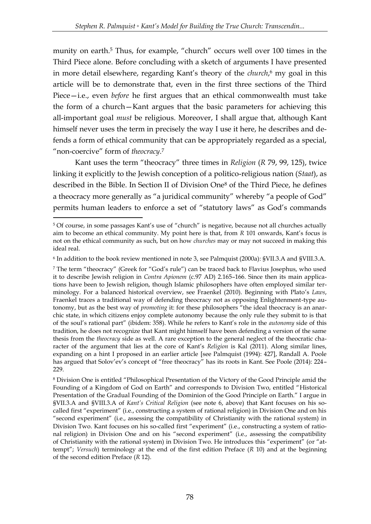munity on earth.<sup>5</sup> Thus, for example, "church" occurs well over 100 times in the Third Piece alone. Before concluding with a sketch of arguments I have presented in more detail elsewhere, regarding Kant's theory of the *church*, <sup>6</sup> my goal in this article will be to demonstrate that, even in the first three sections of the Third Piece—i.e., even *before* he first argues that an ethical commonwealth must take the form of a church—Kant argues that the basic parameters for achieving this all-important goal *must* be religious. Moreover, I shall argue that, although Kant himself never uses the term in precisely the way I use it here, he describes and defends a form of ethical community that can be appropriately regarded as a special, "non-coercive" form of *theocracy*. 7

Kant uses the term "theocracy" three times in *Religion* (*R* 79, 99, 125), twice linking it explicitly to the Jewish conception of a politico-religious nation (*Staat*), as described in the Bible. In Section II of Division One<sup>8</sup> of the Third Piece, he defines a theocracy more generally as "a juridical community" whereby "a people of God" permits human leaders to enforce a set of "statutory laws" as God's commands

<u>.</u>

<sup>5</sup> Of course, in some passages Kant's use of "church" is negative, because not all churches actually aim to become an ethical community. My point here is that, from *R* 101 onwards, Kant's focus is not on the ethical community as such, but on how *churches* may or may not succeed in making this ideal real.

<sup>6</sup> In addition to the book review mentioned in note 3, see Palmquist (2000a): §VII.3.A and §VIII.3.A.

<sup>7</sup> The term "theocracy" (Greek for "God's rule") can be traced back to Flavius Josephus, who used it to describe Jewish religion in *Contra Apionem* (c.97 AD) 2.165–166. Since then its main applications have been to Jewish religion, though Islamic philosophers have often employed similar terminology. For a balanced historical overview, see Fraenkel (2010). Beginning with Plato's *Laws*, Fraenkel traces a traditional way of defending theocracy not as opposing Enlightenment-type autonomy, but as the best way of *promoting* it: for these philosophers "the ideal theocracy is an anarchic state, in which citizens enjoy complete autonomy because the only rule they submit to is that of the soul's rational part" (ibidem: 358). While he refers to Kant's role in the *autonomy* side of this tradition, he does not recognize that Kant might himself have been defending a version of the same thesis from the *theocracy* side as well. A rare exception to the general neglect of the theocratic character of the argument that lies at the core of Kant's *Religion* is Kal (2011). Along similar lines, expanding on a hint I proposed in an earlier article [see Palmquist (1994): 427], Randall A. Poole has argued that Solov'ev's concept of "free theocracy" has its roots in Kant. See Poole (2014): 224– 229.

<sup>8</sup> Division One is entitled "Philosophical Presentation of the Victory of the Good Principle amid the Founding of a Kingdom of God on Earth" and corresponds to Division Two, entitled "Historical Presentation of the Gradual Founding of the Dominion of the Good Principle on Earth." I argue in §VII.3.A and §VIII.3.A of *Kant's Critical Religion* (see note 6, above) that Kant focuses on his socalled first "experiment" (i.e., constructing a system of rational religion) in Division One and on his "second experiment" (i.e., assessing the compatibility of Christianity with the rational system) in Division Two. Kant focuses on his so-called first "experiment" (i.e., constructing a system of rational religion) in Division One and on his "second experiment" (i.e., assessing the compatibility of Christianity with the rational system) in Division Two. He introduces this "experiment" (or "attempt"; *Versuch*) terminology at the end of the first edition Preface (*R* 10) and at the beginning of the second edition Preface (*R* 12).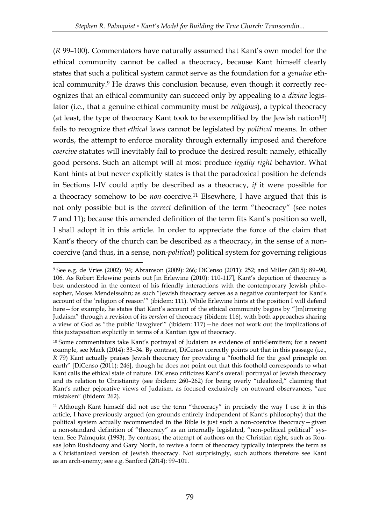(*R* 99–100). Commentators have naturally assumed that Kant's own model for the ethical community cannot be called a theocracy, because Kant himself clearly states that such a political system cannot serve as the foundation for a *genuine* ethical community.<sup>9</sup> He draws this conclusion because, even though it correctly recognizes that an ethical community can succeed only by appealing to a *divine* legislator (i.e., that a genuine ethical community must be *religious*), a typical theocracy (at least, the type of theocracy Kant took to be exemplified by the Jewish nation<sup>10</sup>) fails to recognize that *ethical* laws cannot be legislated by *political* means. In other words, the attempt to enforce morality through externally imposed and therefore *coercive* statutes will inevitably fail to produce the desired result: namely, ethically good persons. Such an attempt will at most produce *legally right* behavior. What Kant hints at but never explicitly states is that the paradoxical position he defends in Sections I-IV could aptly be described as a theocracy, *if* it were possible for a theocracy somehow to be *non-*coercive.<sup>11</sup> Elsewhere, I have argued that this is not only possible but is the *correct* definition of the term "theocracy" (see notes 7 and 11); because this amended definition of the term fits Kant's position so well, I shall adopt it in this article. In order to appreciate the force of the claim that Kant's theory of the church can be described as a theocracy, in the sense of a noncoercive (and thus, in a sense, non-*political*) political system for governing religious

<sup>9</sup> See e.g. de Vries (2002): 94; Abramson (2009): 266; DiCenso (2011): 252; and Miller (2015): 89–90, 106. As Robert Erlewine points out [in Erlewine (2010): 110-117], Kant's depiction of theocracy is best understood in the context of his friendly interactions with the contemporary Jewish philosopher, Moses Mendelssohn; as such "Jewish theocracy serves as a negative counterpart for Kant's account of the 'religion of reason'" (ibidem: 111). While Erlewine hints at the position I will defend here—for example, he states that Kant's account of the ethical community begins by "[m]irroring Judaism" through a revision of its *version* of theocracy (ibidem: 116), with both approaches sharing a view of God as "the public 'lawgiver'" (ibidem: 117)—he does not work out the implications of this juxtaposition explicitly in terms of a Kantian *type* of theocracy.

<sup>&</sup>lt;sup>10</sup> Some commentators take Kant's portrayal of Judaism as evidence of anti-Semitism; for a recent example, see Mack (2014): 33–34. By contrast, DiCenso correctly points out that in this passage (i.e., *R* 79) Kant actually praises Jewish theocracy for providing a "foothold for the *good* principle on earth" [DiCenso (2011): 246], though he does not point out that this foothold corresponds to what Kant calls the ethical state of nature. DiCenso criticizes Kant's overall portrayal of Jewish theocracy and its relation to Christianity (see ibidem: 260–262) for being overly "idealized," claiming that Kant's rather pejorative views of Judaism, as focused exclusively on outward observances, "are mistaken" (ibidem: 262).

<sup>&</sup>lt;sup>11</sup> Although Kant himself did not use the term "theocracy" in precisely the way I use it in this article, I have previously argued (on grounds entirely independent of Kant's philosophy) that the political system actually recommended in the Bible is just such a non-coercive theocracy—given a non-standard definition of "theocracy" as an internally legislated, "non-political political" system. See Palmquist (1993). By contrast, the attempt of authors on the Christian right, such as Rousas John Rushdoony and Gary North, to revive a form of theocracy typically interprets the term as a Christianized version of Jewish theocracy. Not surprisingly, such authors therefore see Kant as an arch-enemy; see e.g. Sanford (2014): 99–101.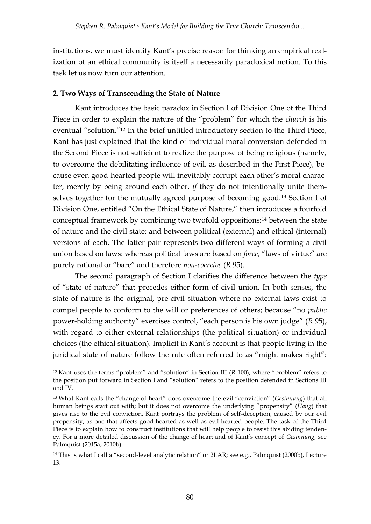institutions, we must identify Kant's precise reason for thinking an empirical realization of an ethical community is itself a necessarily paradoxical notion. To this task let us now turn our attention.

## **2. Two Ways of Transcending the State of Nature**

<u>.</u>

Kant introduces the basic paradox in Section I of Division One of the Third Piece in order to explain the nature of the "problem" for which the *church* is his eventual "solution."<sup>12</sup> In the brief untitled introductory section to the Third Piece, Kant has just explained that the kind of individual moral conversion defended in the Second Piece is not sufficient to realize the purpose of being religious (namely, to overcome the debilitating influence of evil, as described in the First Piece), because even good-hearted people will inevitably corrupt each other's moral character, merely by being around each other, *if* they do not intentionally unite themselves together for the mutually agreed purpose of becoming good.<sup>13</sup> Section I of Division One, entitled "On the Ethical State of Nature," then introduces a fourfold conceptual framework by combining two twofold oppositions:<sup>14</sup> between the state of nature and the civil state; and between political (external) and ethical (internal) versions of each. The latter pair represents two different ways of forming a civil union based on laws: whereas political laws are based on *force*, "laws of virtue" are purely rational or "bare" and therefore *non-coercive* (*R* 95).

The second paragraph of Section I clarifies the difference between the *type*  of "state of nature" that precedes either form of civil union. In both senses, the state of nature is the original, pre-civil situation where no external laws exist to compel people to conform to the will or preferences of others; because "no *public* power-holding authority" exercises control, "each person is his own judge" (*R* 95), with regard to either external relationships (the political situation) or individual choices (the ethical situation). Implicit in Kant's account is that people living in the juridical state of nature follow the rule often referred to as "might makes right":

<sup>12</sup> Kant uses the terms "problem" and "solution" in Section III (*R* 100), where "problem" refers to the position put forward in Section I and "solution" refers to the position defended in Sections III and IV.

<sup>13</sup> What Kant calls the "change of heart" does overcome the evil "conviction" (*Gesinnung*) that all human beings start out with; but it does not overcome the underlying "propensity" (*Hang*) that gives rise to the evil conviction. Kant portrays the problem of self-deception, caused by our evil propensity, as one that affects good-hearted as well as evil-hearted people. The task of the Third Piece is to explain how to construct institutions that will help people to resist this abiding tendency. For a more detailed discussion of the change of heart and of Kant's concept of *Gesinnung*, see Palmquist (2015a, 2010b).

<sup>14</sup> This is what I call a "second-level analytic relation" or 2LAR; see e.g., Palmquist (2000b), Lecture 13.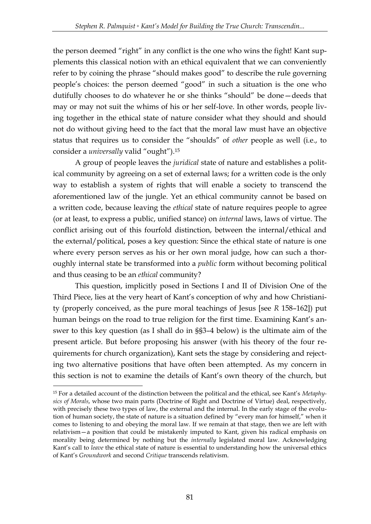the person deemed "right" in any conflict is the one who wins the fight! Kant supplements this classical notion with an ethical equivalent that we can conveniently refer to by coining the phrase "should makes good" to describe the rule governing people's choices: the person deemed "good" in such a situation is the one who dutifully chooses to do whatever he or she thinks "should" be done—deeds that may or may not suit the whims of his or her self-love. In other words, people living together in the ethical state of nature consider what they should and should not do without giving heed to the fact that the moral law must have an objective status that requires us to consider the "shoulds" of *other* people as well (i.e., to consider a *universally* valid "ought").<sup>15</sup>

A group of people leaves the *juridical* state of nature and establishes a political community by agreeing on a set of external laws; for a written code is the only way to establish a system of rights that will enable a society to transcend the aforementioned law of the jungle. Yet an ethical community cannot be based on a written code, because leaving the *ethical* state of nature requires people to agree (or at least, to express a public, unified stance) on *internal* laws, laws of virtue. The conflict arising out of this fourfold distinction, between the internal/ethical and the external/political, poses a key question: Since the ethical state of nature is one where every person serves as his or her own moral judge, how can such a thoroughly internal state be transformed into a *public* form without becoming political and thus ceasing to be an *ethical* community?

This question, implicitly posed in Sections I and II of Division One of the Third Piece, lies at the very heart of Kant's conception of why and how Christianity (properly conceived, as the pure moral teachings of Jesus [see *R* 158–162]) put human beings on the road to true religion for the first time. Examining Kant's answer to this key question (as I shall do in §§3–4 below) is the ultimate aim of the present article. But before proposing his answer (with his theory of the four requirements for church organization), Kant sets the stage by considering and rejecting two alternative positions that have often been attempted. As my concern in this section is not to examine the details of Kant's own theory of the church, but

<sup>15</sup> For a detailed account of the distinction between the political and the ethical, see Kant's *Metaphysics of Morals*, whose two main parts (Doctrine of Right and Doctrine of Virtue) deal, respectively, with precisely these two types of law, the external and the internal. In the early stage of the evolution of human society, the state of nature is a situation defined by "every man for himself," when it comes to listening to and obeying the moral law. If we remain at that stage, then we are left with relativism—a position that could be mistakenly imputed to Kant, given his radical emphasis on morality being determined by nothing but the *internally* legislated moral law. Acknowledging Kant's call to *leave* the ethical state of nature is essential to understanding how the universal ethics of Kant's *Groundwork* and second *Critique* transcends relativism.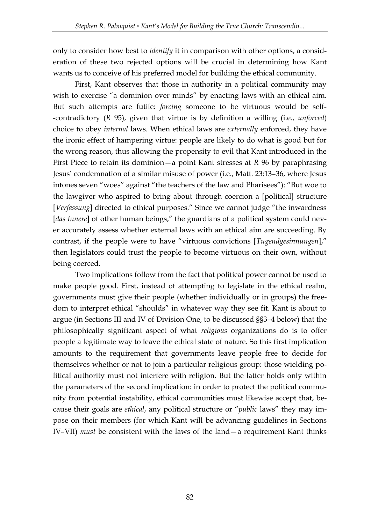only to consider how best to *identify* it in comparison with other options, a consideration of these two rejected options will be crucial in determining how Kant wants us to conceive of his preferred model for building the ethical community.

First, Kant observes that those in authority in a political community may wish to exercise "a dominion over minds" by enacting laws with an ethical aim. But such attempts are futile: *forcing* someone to be virtuous would be self- -contradictory (*R* 95), given that virtue is by definition a willing (i.e., *unforced*) choice to obey *internal* laws. When ethical laws are *externally* enforced, they have the ironic effect of hampering virtue: people are likely to do what is good but for the wrong reason, thus allowing the propensity to evil that Kant introduced in the First Piece to retain its dominion—a point Kant stresses at *R* 96 by paraphrasing Jesus' condemnation of a similar misuse of power (i.e., Matt. 23:13–36, where Jesus intones seven "woes" against "the teachers of the law and Pharisees"): "But woe to the lawgiver who aspired to bring about through coercion a [political] structure [*Verfassung*] directed to ethical purposes." Since we cannot judge "the inwardness [*das Innere*] of other human beings," the guardians of a political system could never accurately assess whether external laws with an ethical aim are succeeding. By contrast, if the people were to have "virtuous convictions [*Tugendgesinnungen*]," then legislators could trust the people to become virtuous on their own, without being coerced.

Two implications follow from the fact that political power cannot be used to make people good. First, instead of attempting to legislate in the ethical realm, governments must give their people (whether individually or in groups) the freedom to interpret ethical "shoulds" in whatever way they see fit. Kant is about to argue (in Sections III and IV of Division One, to be discussed §§3–4 below) that the philosophically significant aspect of what *religious* organizations do is to offer people a legitimate way to leave the ethical state of nature. So this first implication amounts to the requirement that governments leave people free to decide for themselves whether or not to join a particular religious group: those wielding political authority must not interfere with religion. But the latter holds only within the parameters of the second implication: in order to protect the political community from potential instability, ethical communities must likewise accept that, because their goals are *ethical*, any political structure or "*public* laws" they may impose on their members (for which Kant will be advancing guidelines in Sections IV–VII) *must* be consistent with the laws of the land—a requirement Kant thinks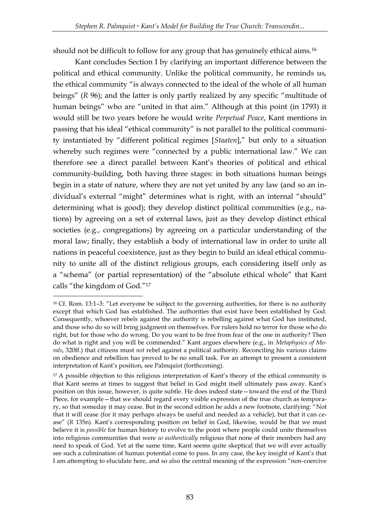should not be difficult to follow for any group that has genuinely ethical aims.<sup>16</sup>

Kant concludes Section I by clarifying an important difference between the political and ethical community. Unlike the political community, he reminds us, the ethical community "is always connected to the ideal of the whole of all human beings" (*R* 96); and the latter is only partly realized by any specific "multitude of human beings" who are "united in that aim." Although at this point (in 1793) it would still be two years before he would write *Perpetual Peace*, Kant mentions in passing that his ideal "ethical community" is not parallel to the political community instantiated by "different political regimes [*Staaten*]," but only to a situation whereby such regimes were "connected by a public international law." We can therefore see a direct parallel between Kant's theories of political and ethical community-building, both having three stages: in both situations human beings begin in a state of nature, where they are not yet united by any law (and so an individual's external "might" determines what is right, with an internal "should" determining what is good); they develop distinct political communities (e.g., nations) by agreeing on a set of external laws, just as they develop distinct ethical societies (e.g., congregations) by agreeing on a particular understanding of the moral law; finally, they establish a body of international law in order to unite all nations in peaceful coexistence, just as they begin to build an ideal ethical community to unite all of the distinct religious groups, each considering itself only as a "schema" (or partial representation) of the "absolute ethical whole" that Kant calls "the kingdom of God."<sup>17</sup>

<sup>16</sup> Cf. Rom. 13:1–3: "Let everyone be subject to the governing authorities, for there is no authority except that which God has established. The authorities that exist have been established by God. Consequently, whoever rebels against the authority is rebelling against what God has instituted, and those who do so will bring judgment on themselves. For rulers hold no terror for those who do right, but for those who do wrong. Do you want to be free from fear of the one in authority? Then do what is right and you will be commended." Kant argues elsewhere (e.g., in *Metaphysics of Morals*, 320ff.) that citizens must *not* rebel against a political authority. Reconciling his various claims on obedience and rebellion has proved to be no small task. For an attempt to present a consistent interpretation of Kant's position, see Palmquist (forthcoming).

<sup>&</sup>lt;sup>17</sup> A possible objection to this religious interpretation of Kant's theory of the ethical community is that Kant seems at times to suggest that belief in God might itself ultimately pass away. Kant's position on this issue, however, is quite subtle. He does indeed state—toward the end of the Third Piece, for example—that we should regard every visible expression of the true church as temporary, so that someday it may cease. But in the second edition he adds a new footnote, clarifying: "Not that it will cease (for it may perhaps always be useful and needed as a vehicle), but that it can cease" (*R* 135n). Kant's corresponding position on belief in God, likewise, would be that we must believe it is *possible* for human history to evolve to the point where people could unite themselves into religious communities that were *so authentically* religious that none of their members had any need to speak of God. Yet at the same time, Kant seems quite skeptical that we will ever actually see such a culmination of human potential come to pass. In any case, the key insight of Kant's that I am attempting to elucidate here, and so also the central meaning of the expression "non-coercive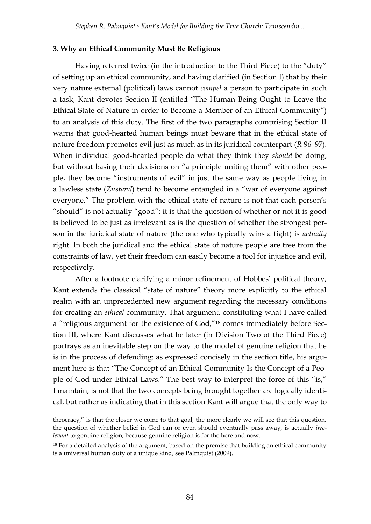### **3. Why an Ethical Community Must Be Religious**

Having referred twice (in the introduction to the Third Piece) to the "duty" of setting up an ethical community, and having clarified (in Section I) that by their very nature external (political) laws cannot *compel* a person to participate in such a task, Kant devotes Section II (entitled "The Human Being Ought to Leave the Ethical State of Nature in order to Become a Member of an Ethical Community") to an analysis of this duty. The first of the two paragraphs comprising Section II warns that good-hearted human beings must beware that in the ethical state of nature freedom promotes evil just as much as in its juridical counterpart (*R* 96–97). When individual good-hearted people do what they think they *should* be doing, but without basing their decisions on "a principle uniting them" with other people, they become "instruments of evil" in just the same way as people living in a lawless state (*Zustand*) tend to become entangled in a "war of everyone against everyone." The problem with the ethical state of nature is not that each person's "should" is not actually "good"; it is that the question of whether or not it is good is believed to be just as irrelevant as is the question of whether the strongest person in the juridical state of nature (the one who typically wins a fight) is *actually* right. In both the juridical and the ethical state of nature people are free from the constraints of law, yet their freedom can easily become a tool for injustice and evil, respectively.

After a footnote clarifying a minor refinement of Hobbes' political theory, Kant extends the classical "state of nature" theory more explicitly to the ethical realm with an unprecedented new argument regarding the necessary conditions for creating an *ethical* community. That argument, constituting what I have called a "religious argument for the existence of God,"<sup>18</sup> comes immediately before Section III, where Kant discusses what he later (in Division Two of the Third Piece) portrays as an inevitable step on the way to the model of genuine religion that he is in the process of defending: as expressed concisely in the section title, his argument here is that "The Concept of an Ethical Community Is the Concept of a People of God under Ethical Laws." The best way to interpret the force of this "is," I maintain, is not that the two concepts being brought together are logically identical, but rather as indicating that in this section Kant will argue that the only way to

<u>.</u>

theocracy," is that the closer we come to that goal, the more clearly we will see that this question, the question of whether belief in God can or even should eventually pass away, is actually *irrelevant* to genuine religion, because genuine religion is for the here and now.

<sup>&</sup>lt;sup>18</sup> For a detailed analysis of the argument, based on the premise that building an ethical community is a universal human duty of a unique kind, see Palmquist (2009).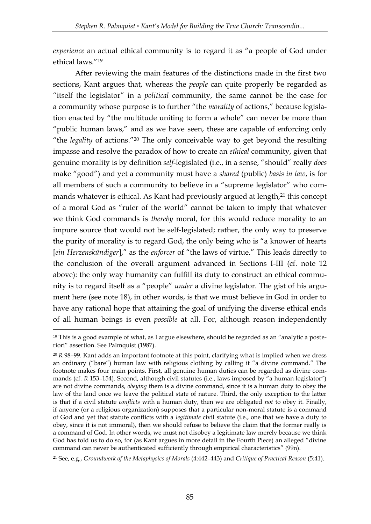*experience* an actual ethical community is to regard it as "a people of God under ethical laws."<sup>19</sup>

After reviewing the main features of the distinctions made in the first two sections, Kant argues that, whereas the *people* can quite properly be regarded as "itself the legislator" in a *political* community, the same cannot be the case for a community whose purpose is to further "the *morality* of actions," because legislation enacted by "the multitude uniting to form a whole" can never be more than "public human laws," and as we have seen, these are capable of enforcing only "the *legality* of actions."<sup>20</sup> The only conceivable way to get beyond the resulting impasse and resolve the paradox of how to create an *ethical* community, given that genuine morality is by definition *self*-legislated (i.e., in a sense, "should" really *does*  make "good") and yet a community must have a *shared* (public) *basis in law*, is for all members of such a community to believe in a "supreme legislator" who commands whatever is ethical. As Kant had previously argued at length,<sup>21</sup> this concept of a moral God as "ruler of the world" cannot be taken to imply that whatever we think God commands is *thereby* moral, for this would reduce morality to an impure source that would not be self-legislated; rather, the only way to preserve the purity of morality is to regard God, the only being who is "a knower of hearts [*ein Herzenskündiger*]," as the *enforcer* of "the laws of virtue." This leads directly to the conclusion of the overall argument advanced in Sections I-III (cf. note 12 above): the only way humanity can fulfill its duty to construct an ethical community is to regard itself as a "people" *under* a divine legislator. The gist of his argument here (see note 18), in other words, is that we must believe in God in order to have any rational hope that attaining the goal of unifying the diverse ethical ends of all human beings is even *possible* at all. For, although reason independently

<sup>&</sup>lt;sup>19</sup> This is a good example of what, as I argue elsewhere, should be regarded as an "analytic a posteriori" assertion. See Palmquist (1987).

<sup>20</sup> *R* 98–99. Kant adds an important footnote at this point, clarifying what is implied when we dress an ordinary ("bare") human law with religious clothing by calling it "a divine command." The footnote makes four main points. First, all genuine human duties can be regarded as divine commands (cf. *R* 153–154). Second, although civil statutes (i.e., laws imposed by "a human legislator") are not divine commands, *obeying* them is a divine command, since it is a human duty to obey the law of the land once we leave the political state of nature. Third, the only exception to the latter is that if a civil statute *conflicts* with a human duty, then we are obligated *not* to obey it. Finally, if anyone (or a religious organization) supposes that a particular non-moral statute is a command of God and yet that statute conflicts with a *legitimate* civil statute (i.e., one that we have a duty to obey, since it is not immoral), then we should refuse to believe the claim that the former really is a command of God. In other words, we must not disobey a legitimate law merely because we think God has told us to do so, for (as Kant argues in more detail in the Fourth Piece) an alleged "divine command can never be authenticated sufficiently through empirical characteristics" (99n).

<sup>21</sup> See, e.g., *Groundwork of the Metaphysics of Morals* (4:442–443) and *Critique of Practical Reason* (5:41).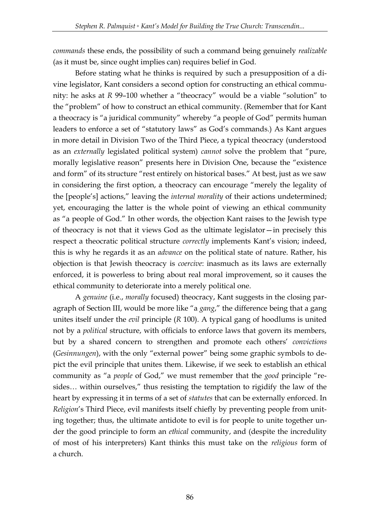*commands* these ends, the possibility of such a command being genuinely *realizable* (as it must be, since ought implies can) requires belief in God.

Before stating what he thinks is required by such a presupposition of a divine legislator, Kant considers a second option for constructing an ethical community: he asks at *R* 99–100 whether a "theocracy" would be a viable "solution" to the "problem" of how to construct an ethical community. (Remember that for Kant a theocracy is "a juridical community" whereby "a people of God" permits human leaders to enforce a set of "statutory laws" as God's commands.) As Kant argues in more detail in Division Two of the Third Piece, a typical theocracy (understood as an *externally* legislated political system) *cannot* solve the problem that "pure, morally legislative reason" presents here in Division One, because the "existence and form" of its structure "rest entirely on historical bases." At best, just as we saw in considering the first option, a theocracy can encourage "merely the legality of the [people's] actions," leaving the *internal morality* of their actions undetermined; yet, encouraging the latter is the whole point of viewing an ethical community as "a people of God." In other words, the objection Kant raises to the Jewish type of theocracy is not that it views God as the ultimate legislator—in precisely this respect a theocratic political structure *correctly* implements Kant's vision; indeed, this is why he regards it as an *advance* on the political state of nature. Rather, his objection is that Jewish theocracy is *coercive*: inasmuch as its laws are externally enforced, it is powerless to bring about real moral improvement, so it causes the ethical community to deteriorate into a merely political one.

A *genuine* (i.e., *morally* focused) theocracy, Kant suggests in the closing paragraph of Section III, would be more like "a *gang*," the difference being that a gang unites itself under the *evil* principle (*R* 100). A typical gang of hoodlums is united not by a *political* structure, with officials to enforce laws that govern its members, but by a shared concern to strengthen and promote each others' *convictions* (*Gesinnungen*), with the only "external power" being some graphic symbols to depict the evil principle that unites them. Likewise, if we seek to establish an ethical community as "a *people* of God," we must remember that the *good* principle "resides… within ourselves," thus resisting the temptation to rigidify the law of the heart by expressing it in terms of a set of *statutes* that can be externally enforced. In *Religion*'s Third Piece, evil manifests itself chiefly by preventing people from uniting together; thus, the ultimate antidote to evil is for people to unite together under the good principle to form an *ethical* community, and (despite the incredulity of most of his interpreters) Kant thinks this must take on the *religious* form of a church.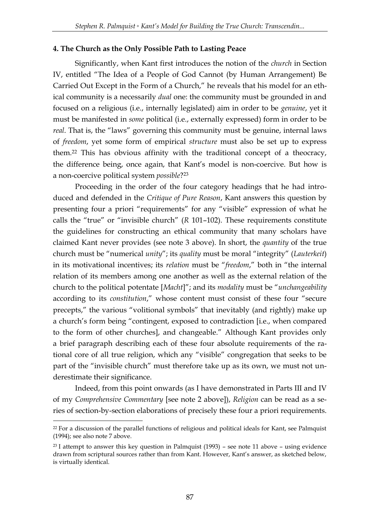### **4. The Church as the Only Possible Path to Lasting Peace**

Significantly, when Kant first introduces the notion of the *church* in Section IV, entitled "The Idea of a People of God Cannot (by Human Arrangement) Be Carried Out Except in the Form of a Church," he reveals that his model for an ethical community is a necessarily *dual* one: the community must be grounded in and focused on a religious (i.e., internally legislated) aim in order to be *genuine*, yet it must be manifested in *some* political (i.e., externally expressed) form in order to be *real*. That is, the "laws" governing this community must be genuine, internal laws of *freedom*, yet some form of empirical *structure* must also be set up to express them.<sup>22</sup> This has obvious affinity with the traditional concept of a theocracy, the difference being, once again, that Kant's model is non-coercive. But how is a non-coercive political system *possible*? 23

Proceeding in the order of the four category headings that he had introduced and defended in the *Critique of Pure Reason*, Kant answers this question by presenting four a priori "requirements" for any "visible" expression of what he calls the "true" or "invisible church" (*R* 101–102). These requirements constitute the guidelines for constructing an ethical community that many scholars have claimed Kant never provides (see note 3 above). In short, the *quantity* of the true church must be "numerical *unity*"; its *quality* must be moral "integrity" (*Lauterkeit*) in its motivational incentives; its *relation* must be "*freedom*," both in "the internal relation of its members among one another as well as the external relation of the church to the political potentate [*Macht*]"; and its *modality* must be "*unchangeability*  according to its *constitution*," whose content must consist of these four "secure precepts," the various "volitional symbols" that inevitably (and rightly) make up a church's form being "contingent, exposed to contradiction [i.e., when compared to the form of other churches], and changeable." Although Kant provides only a brief paragraph describing each of these four absolute requirements of the rational core of all true religion, which any "visible" congregation that seeks to be part of the "invisible church" must therefore take up as its own, we must not underestimate their significance.

Indeed, from this point onwards (as I have demonstrated in Parts III and IV of my *Comprehensive Commentary* [see note 2 above]), *Religion* can be read as a series of section-by-section elaborations of precisely these four a priori requirements.

<u>.</u>

<sup>&</sup>lt;sup>22</sup> For a discussion of the parallel functions of religious and political ideals for Kant, see Palmquist (1994); see also note 7 above.

<sup>&</sup>lt;sup>23</sup> I attempt to answer this key question in Palmquist  $(1993)$  – see note 11 above – using evidence drawn from scriptural sources rather than from Kant. However, Kant's answer, as sketched below, is virtually identical.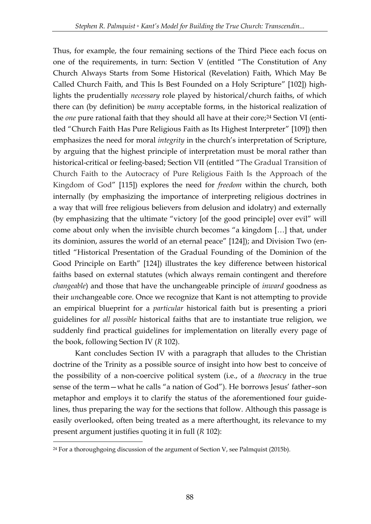Thus, for example, the four remaining sections of the Third Piece each focus on one of the requirements, in turn: Section V (entitled "The Constitution of Any Church Always Starts from Some Historical (Revelation) Faith, Which May Be Called Church Faith, and This Is Best Founded on a Holy Scripture" [102]) highlights the prudentially *necessary* role played by historical/church faiths, of which there can (by definition) be *many* acceptable forms, in the historical realization of the *one* pure rational faith that they should all have at their core;<sup>24</sup> Section VI (entitled "Church Faith Has Pure Religious Faith as Its Highest Interpreter" [109]) then emphasizes the need for moral *integrity* in the church's interpretation of Scripture, by arguing that the highest principle of interpretation must be moral rather than historical-critical or feeling-based; Section VII (entitled "The Gradual Transition of Church Faith to the Autocracy of Pure Religious Faith Is the Approach of the Kingdom of God" [115]) explores the need for *freedom* within the church, both internally (by emphasizing the importance of interpreting religious doctrines in a way that will free religious believers from delusion and idolatry) and externally (by emphasizing that the ultimate "victory [of the good principle] over evil" will come about only when the invisible church becomes "a kingdom […] that, under its dominion, assures the world of an eternal peace" [124]); and Division Two (entitled "Historical Presentation of the Gradual Founding of the Dominion of the Good Principle on Earth" [124]) illustrates the key difference between historical faiths based on external statutes (which always remain contingent and therefore *changeable*) and those that have the unchangeable principle of *inward* goodness as their *un*changeable core. Once we recognize that Kant is not attempting to provide an empirical blueprint for a *particular* historical faith but is presenting a priori guidelines for *all possible* historical faiths that are to instantiate true religion, we suddenly find practical guidelines for implementation on literally every page of the book, following Section IV (*R* 102).

Kant concludes Section IV with a paragraph that alludes to the Christian doctrine of the Trinity as a possible source of insight into how best to conceive of the possibility of a non-coercive political system (i.e., of a *theocracy* in the true sense of the term—what he calls "a nation of God"). He borrows Jesus' father–son metaphor and employs it to clarify the status of the aforementioned four guidelines, thus preparing the way for the sections that follow. Although this passage is easily overlooked, often being treated as a mere afterthought, its relevance to my present argument justifies quoting it in full (*R* 102):

<sup>-</sup> $24$  For a thoroughgoing discussion of the argument of Section V, see Palmquist (2015b).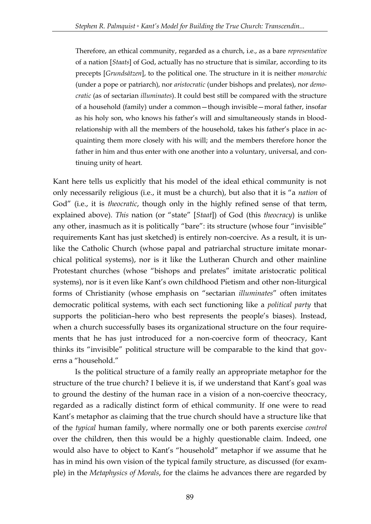Therefore, an ethical community, regarded as a church, i.e., as a bare *representative* of a nation [*Staats*] of God, actually has no structure that is similar, according to its precepts [*Grundsätzen*], to the political one. The structure in it is neither *monarchic* (under a pope or patriarch), nor *aristocratic* (under bishops and prelates), nor *democratic* (as of sectarian *illuminates*). It could best still be compared with the structure of a household (family) under a common—though invisible—moral father, insofar as his holy son, who knows his father's will and simultaneously stands in bloodrelationship with all the members of the household, takes his father's place in acquainting them more closely with his will; and the members therefore honor the father in him and thus enter with one another into a voluntary, universal, and continuing unity of heart.

Kant here tells us explicitly that his model of the ideal ethical community is not only necessarily religious (i.e., it must be a church), but also that it is "a *nation* of God" (i.e., it is *theocratic*, though only in the highly refined sense of that term, explained above). *This* nation (or "state" [*Staat*]) of God (this *theocracy*) is unlike any other, inasmuch as it is politically "bare": its structure (whose four "invisible" requirements Kant has just sketched) is entirely non-coercive. As a result, it is unlike the Catholic Church (whose papal and patriarchal structure imitate monarchical political systems), nor is it like the Lutheran Church and other mainline Protestant churches (whose "bishops and prelates" imitate aristocratic political systems), nor is it even like Kant's own childhood Pietism and other non-liturgical forms of Christianity (whose emphasis on "sectarian *illuminates*" often imitates democratic political systems, with each sect functioning like a *political party* that supports the politician–hero who best represents the people's biases). Instead, when a church successfully bases its organizational structure on the four requirements that he has just introduced for a non-coercive form of theocracy, Kant thinks its "invisible" political structure will be comparable to the kind that governs a "household."

Is the political structure of a family really an appropriate metaphor for the structure of the true church? I believe it is, if we understand that Kant's goal was to ground the destiny of the human race in a vision of a non-coercive theocracy, regarded as a radically distinct form of ethical community. If one were to read Kant's metaphor as claiming that the true church should have a structure like that of the *typical* human family, where normally one or both parents exercise *control*  over the children, then this would be a highly questionable claim. Indeed, one would also have to object to Kant's "household" metaphor if we assume that he has in mind his own vision of the typical family structure, as discussed (for example) in the *Metaphysics of Morals*, for the claims he advances there are regarded by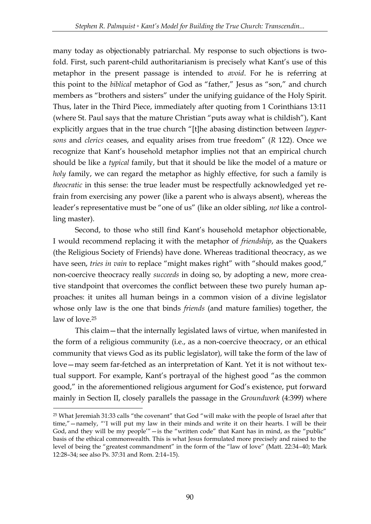many today as objectionably patriarchal. My response to such objections is twofold. First, such parent-child authoritarianism is precisely what Kant's use of this metaphor in the present passage is intended to *avoid*. For he is referring at this point to the *biblical* metaphor of God as "father," Jesus as "son," and church members as "brothers and sisters" under the unifying guidance of the Holy Spirit. Thus, later in the Third Piece, immediately after quoting from 1 Corinthians 13:11 (where St. Paul says that the mature Christian "puts away what is childish"), Kant explicitly argues that in the true church "[t]he abasing distinction between *laypersons* and *clerics* ceases, and equality arises from true freedom" (*R* 122). Once we recognize that Kant's household metaphor implies not that an empirical church should be like a *typical* family, but that it should be like the model of a mature or *holy* family, we can regard the metaphor as highly effective, for such a family is *theocratic* in this sense: the true leader must be respectfully acknowledged yet refrain from exercising any power (like a parent who is always absent), whereas the leader's representative must be "one of us" (like an older sibling, *not* like a controlling master).

Second, to those who still find Kant's household metaphor objectionable, I would recommend replacing it with the metaphor of *friendship*, as the Quakers (the Religious Society of Friends) have done. Whereas traditional theocracy, as we have seen, *tries in vain* to replace "might makes right" with "should makes good," non-coercive theocracy really *succeeds* in doing so, by adopting a new, more creative standpoint that overcomes the conflict between these two purely human approaches: it unites all human beings in a common vision of a divine legislator whose only law is the one that binds *friends* (and mature families) together, the law of love.<sup>25</sup>

This claim—that the internally legislated laws of virtue, when manifested in the form of a religious community (i.e., as a non-coercive theocracy, or an ethical community that views God as its public legislator), will take the form of the law of love—may seem far-fetched as an interpretation of Kant. Yet it is not without textual support. For example, Kant's portrayal of the highest good "as the common good," in the aforementioned religious argument for God's existence, put forward mainly in Section II, closely parallels the passage in the *Groundwork* (4:399) where

<sup>25</sup> What Jeremiah 31:33 calls "the covenant" that God "will make with the people of Israel after that time,"—namely, "'I will put my law in their minds and write it on their hearts. I will be their God, and they will be my people'"—is the "written code" that Kant has in mind, as the "public" basis of the ethical commonwealth. This is what Jesus formulated more precisely and raised to the level of being the "greatest commandment" in the form of the "law of love" (Matt. 22:34–40; Mark 12:28–34; see also Ps. 37:31 and Rom. 2:14–15).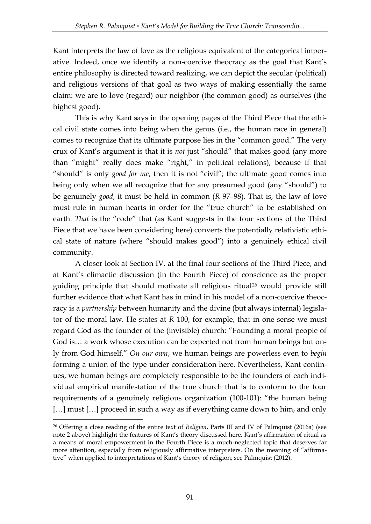Kant interprets the law of love as the religious equivalent of the categorical imperative. Indeed, once we identify a non-coercive theocracy as the goal that Kant's entire philosophy is directed toward realizing, we can depict the secular (political) and religious versions of that goal as two ways of making essentially the same claim: we are to love (regard) our neighbor (the common good) as ourselves (the highest good).

This is why Kant says in the opening pages of the Third Piece that the ethical civil state comes into being when the genus (i.e., the human race in general) comes to recognize that its ultimate purpose lies in the "common good." The very crux of Kant's argument is that it is *not* just "should" that makes good (any more than "might" really does make "right," in political relations), because if that "should" is only *good for me*, then it is not "civil"; the ultimate good comes into being only when we all recognize that for any presumed good (any "should") to be genuinely *good*, it must be held in common (*R* 97–98). That is, the law of love must rule in human hearts in order for the "true church" to be established on earth. *That* is the "code" that (as Kant suggests in the four sections of the Third Piece that we have been considering here) converts the potentially relativistic ethical state of nature (where "should makes good") into a genuinely ethical civil community.

A closer look at Section IV, at the final four sections of the Third Piece, and at Kant's climactic discussion (in the Fourth Piece) of conscience as the proper guiding principle that should motivate all religious ritual<sup>26</sup> would provide still further evidence that what Kant has in mind in his model of a non-coercive theocracy is a *partnership* between humanity and the divine (but always internal) legislator of the moral law. He states at *R* 100, for example, that in one sense we must regard God as the founder of the (invisible) church: "Founding a moral people of God is… a work whose execution can be expected not from human beings but only from God himself." *On our own*, we human beings are powerless even to *begin*  forming a union of the type under consideration here. Nevertheless, Kant continues, we human beings are completely responsible to be the founders of each individual empirical manifestation of the true church that is to conform to the four requirements of a genuinely religious organization (100-101): "the human being [...] must [...] proceed in such a way as if everything came down to him, and only

<sup>26</sup> Offering a close reading of the entire text of *Religion*, Parts III and IV of Palmquist (2016a) (see note 2 above) highlight the features of Kant's theory discussed here. Kant's affirmation of ritual as a means of moral empowerment in the Fourth Piece is a much-neglected topic that deserves far more attention, especially from religiously affirmative interpreters. On the meaning of "affirmative" when applied to interpretations of Kant's theory of religion, see Palmquist (2012).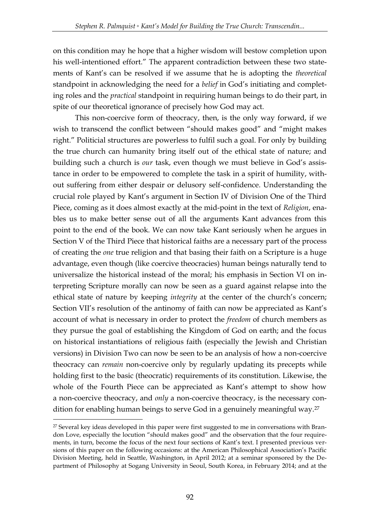on this condition may he hope that a higher wisdom will bestow completion upon his well-intentioned effort." The apparent contradiction between these two statements of Kant's can be resolved if we assume that he is adopting the *theoretical*  standpoint in acknowledging the need for a *belief* in God's initiating and completing roles and the *practical* standpoint in requiring human beings to do their part, in spite of our theoretical ignorance of precisely how God may act.

This non-coercive form of theocracy, then, is the only way forward, if we wish to transcend the conflict between "should makes good" and "might makes right." Politicial structures are powerless to fulfil such a goal. For only by building the true church can humanity bring itself out of the ethical state of nature; and building such a church is *our* task, even though we must believe in God's assistance in order to be empowered to complete the task in a spirit of humility, without suffering from either despair or delusory self-confidence. Understanding the crucial role played by Kant's argument in Section IV of Division One of the Third Piece, coming as it does almost exactly at the mid-point in the text of *Religion*, enables us to make better sense out of all the arguments Kant advances from this point to the end of the book. We can now take Kant seriously when he argues in Section V of the Third Piece that historical faiths are a necessary part of the process of creating the *one* true religion and that basing their faith on a Scripture is a huge advantage, even though (like coercive theocracies) human beings naturally tend to universalize the historical instead of the moral; his emphasis in Section VI on interpreting Scripture morally can now be seen as a guard against relapse into the ethical state of nature by keeping *integrity* at the center of the church's concern; Section VII's resolution of the antinomy of faith can now be appreciated as Kant's account of what is necessary in order to protect the *freedom* of church members as they pursue the goal of establishing the Kingdom of God on earth; and the focus on historical instantiations of religious faith (especially the Jewish and Christian versions) in Division Two can now be seen to be an analysis of how a non-coercive theocracy can *remain* non-coercive only by regularly updating its precepts while holding first to the basic (theocratic) requirements of its constitution. Likewise, the whole of the Fourth Piece can be appreciated as Kant's attempt to show how a non-coercive theocracy, and *only* a non-coercive theocracy, is the necessary condition for enabling human beings to serve God in a genuinely meaningful way.<sup>27</sup>

<sup>&</sup>lt;sup>27</sup> Several key ideas developed in this paper were first suggested to me in conversations with Brandon Love, especially the locution "should makes good" and the observation that the four requirements, in turn, become the focus of the next four sections of Kant's text. I presented previous versions of this paper on the following occasions: at the American Philosophical Association's Pacific Division Meeting, held in Seattle, Washington, in April 2012; at a seminar sponsored by the Department of Philosophy at Sogang University in Seoul, South Korea, in February 2014; and at the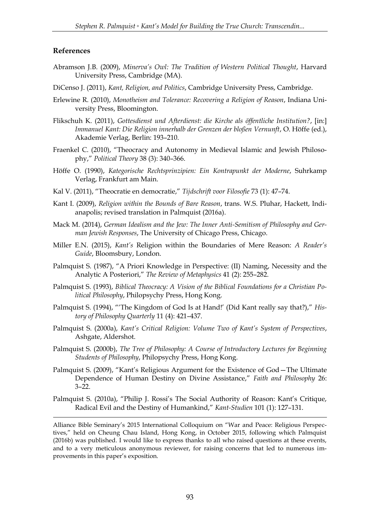#### **References**

<u>.</u>

- Abramson J.B. (2009), *Minerva's Owl: The Tradition of Western Political Thought*, Harvard University Press, Cambridge (MA).
- DiCenso J. (2011), *Kant, Religion, and Politics*, Cambridge University Press, Cambridge.
- Erlewine R. (2010), *Monotheism and Tolerance: Recovering a Religion of Reason*, Indiana University Press, Bloomington.
- Flikschuh K. (2011), *Gottesdienst und Afterdienst: die Kirche als öffentliche Institution?*, [in:] *Immanuel Kant: Die Religion innerhalb der Grenzen der bloßen Vernunft*, O. Höffe (ed.), Akademie Verlag, Berlin: 193–210.
- Fraenkel C. (2010), "Theocracy and Autonomy in Medieval Islamic and Jewish Philosophy," *Political Theory* 38 (3): 340–366.
- Höffe O. (1990), *Kategorische Rechtsprinzipien: Ein Kontrapunkt der Moderne*, Suhrkamp Verlag, Frankfurt am Main.
- Kal V. (2011), "Theocratie en democratie," *Tijdschrift voor Filosofie* 73 (1): 47–74.
- Kant I. (2009), *Religion within the Bounds of Bare Reason*, trans. W.S. Pluhar, Hackett, Indianapolis; revised translation in Palmquist (2016a).
- Mack M. (2014), *German Idealism and the Jew: The Inner Anti-Semitism of Philosophy and German Jewish Responses*, The University of Chicago Press, Chicago.
- Miller E.N. (2015), *Kant's* Religion within the Boundaries of Mere Reason: *A Reader's Guide*, Bloomsbury, London.
- Palmquist S. (1987), "A Priori Knowledge in Perspective: (II) Naming, Necessity and the Analytic A Posteriori," *The Review of Metaphysics* 41 (2): 255–282.
- Palmquist S. (1993), *Biblical Theocracy: A Vision of the Biblical Foundations for a Christian Political Philosophy*, Philopsychy Press, Hong Kong.
- Palmquist S. (1994), "'The Kingdom of God Is at Hand!' (Did Kant really say that?)," *History of Philosophy Quarterly* 11 (4): 421–437.
- Palmquist S. (2000a), *Kant's Critical Religion: Volume Two of Kant's System of Perspectives*, Ashgate, Aldershot.
- Palmquist S. (2000b), *The Tree of Philosophy: A Course of Introductory Lectures for Beginning Students of Philosophy*, Philopsychy Press, Hong Kong.
- Palmquist S. (2009), "Kant's Religious Argument for the Existence of God—The Ultimate Dependence of Human Destiny on Divine Assistance," *Faith and Philosophy* 26: 3–22.
- Palmquist S. (2010a), "Philip J. Rossi's The Social Authority of Reason: Kant's Critique, Radical Evil and the Destiny of Humankind," *Kant-Studien* 101 (1): 127–131.

Alliance Bible Seminary's 2015 International Colloquium on "War and Peace: Religious Perspectives," held on Cheung Chau Island, Hong Kong, in October 2015, following which Palmquist (2016b) was published. I would like to express thanks to all who raised questions at these events, and to a very meticulous anonymous reviewer, for raising concerns that led to numerous improvements in this paper's exposition.